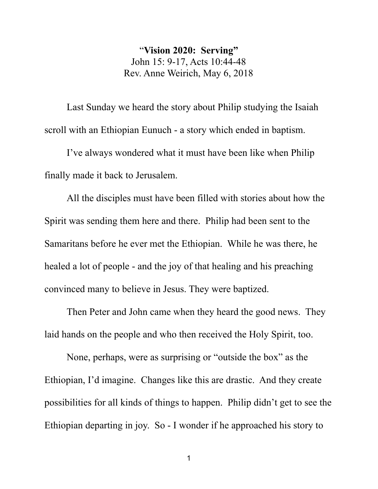"**Vision 2020: Serving"** John 15: 9-17, Acts 10:44-48 Rev. Anne Weirich, May 6, 2018

Last Sunday we heard the story about Philip studying the Isaiah scroll with an Ethiopian Eunuch - a story which ended in baptism.

I've always wondered what it must have been like when Philip finally made it back to Jerusalem.

All the disciples must have been filled with stories about how the Spirit was sending them here and there. Philip had been sent to the Samaritans before he ever met the Ethiopian. While he was there, he healed a lot of people - and the joy of that healing and his preaching convinced many to believe in Jesus. They were baptized.

Then Peter and John came when they heard the good news. They laid hands on the people and who then received the Holy Spirit, too.

None, perhaps, were as surprising or "outside the box" as the Ethiopian, I'd imagine. Changes like this are drastic. And they create possibilities for all kinds of things to happen. Philip didn't get to see the Ethiopian departing in joy. So - I wonder if he approached his story to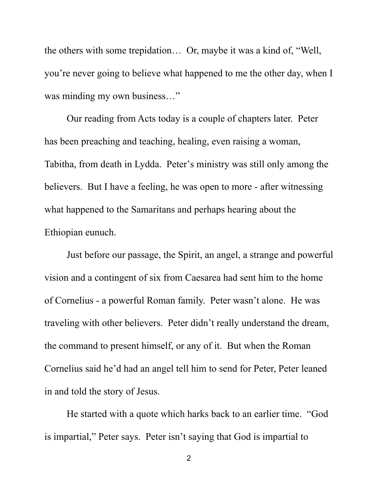the others with some trepidation… Or, maybe it was a kind of, "Well, you're never going to believe what happened to me the other day, when I was minding my own business…"

Our reading from Acts today is a couple of chapters later. Peter has been preaching and teaching, healing, even raising a woman, Tabitha, from death in Lydda. Peter's ministry was still only among the believers. But I have a feeling, he was open to more - after witnessing what happened to the Samaritans and perhaps hearing about the Ethiopian eunuch.

Just before our passage, the Spirit, an angel, a strange and powerful vision and a contingent of six from Caesarea had sent him to the home of Cornelius - a powerful Roman family. Peter wasn't alone. He was traveling with other believers. Peter didn't really understand the dream, the command to present himself, or any of it. But when the Roman Cornelius said he'd had an angel tell him to send for Peter, Peter leaned in and told the story of Jesus.

He started with a quote which harks back to an earlier time. "God is impartial," Peter says. Peter isn't saying that God is impartial to

2 and 2 and 2 and 2 and 2 and 2 and 2 and 2 and 2 and 2 and 2 and 2 and 2 and 2 and 2 and 2 and 2 and 2 and 2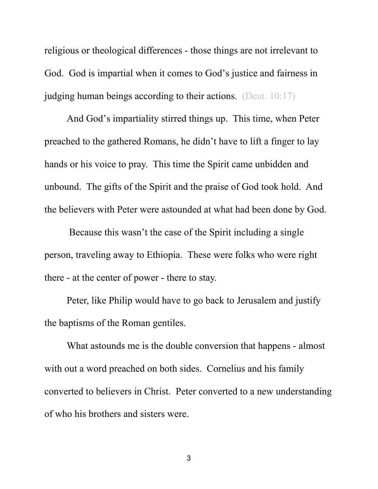religious or theological differences - those things are not irrelevant to God. God is impartial when it comes to God's justice and fairness in judging human beings according to their actions. (Deut. 10:17)

And God's impartiality stirred things up. This time, when Peter preached to the gathered Romans, he didn't have to lift a finger to lay hands or his voice to pray. This time the Spirit came unbidden and unbound. The gifts of the Spirit and the praise of God took hold. And the believers with Peter were astounded at what had been done by God.

 Because this wasn't the case of the Spirit including a single person, traveling away to Ethiopia. These were folks who were right there - at the center of power - there to stay.

Peter, like Philip would have to go back to Jerusalem and justify the baptisms of the Roman gentiles.

What astounds me is the double conversion that happens - almost with out a word preached on both sides. Cornelius and his family converted to believers in Christ. Peter converted to a new understanding of who his brothers and sisters were.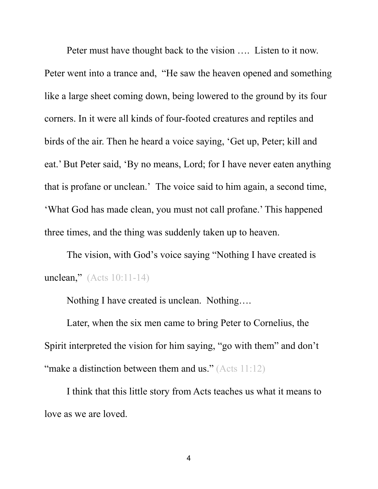Peter must have thought back to the vision .... Listen to it now.<br>Peter went into a trance and, "He saw the heaven opened and something like a large sheet coming down, being lowered to the ground by its four corners. In it were all kinds of four-footed creatures and reptiles and birds of the air. Then he heard a voice saying, 'Get up, Peter; kill and eat.' But Peter said, 'By no means, Lord; for I have never eaten anything that is profane or unclean.' The voice said to him again, a second time, 'What God has made clean, you must not call profane.' This happened three times, and the thing was suddenly taken up to heaven.

The vision, with God's voice saying "Nothing I have created is unclean," (Acts 10:11-14)

Nothing I have created is unclean. Nothing….

Later, when the six men came to bring Peter to Cornelius, the Spirit interpreted the vision for him saying, "go with them" and don't "make a distinction between them and us." ( $Acts 11:12$ )

I think that this little story from Acts teaches us what it means to love as we are loved.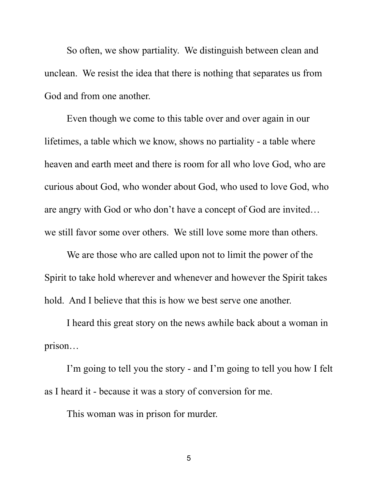So often, we show partiality. We distinguish between clean and unclean. We resist the idea that there is nothing that separates us from God and from one another.

Even though we come to this table over and over again in our lifetimes, a table which we know, shows no partiality - a table where heaven and earth meet and there is room for all who love God, who are curious about God, who wonder about God, who used to love God, who are angry with God or who don't have a concept of God are invited… we still favor some over others. We still love some more than others.

We are those who are called upon not to limit the power of the Spirit to take hold wherever and whenever and however the Spirit takes hold. And I believe that this is how we best serve one another.<br>I heard this great story on the news awhile back about a woman in

prison…

I'm going to tell you the story - and I'm going to tell you how I felt as I heard it - because it was a story of conversion for me.

This woman was in prison for murder.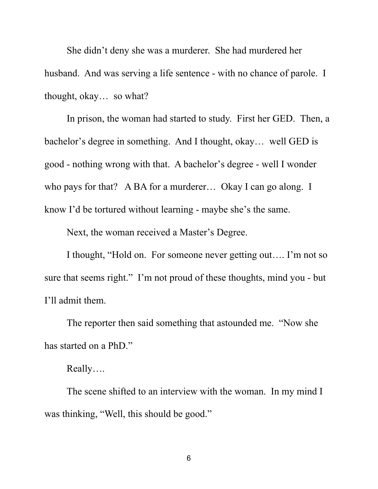She didn't deny she was a murderer. She had murdered her husband. And was serving a life sentence - with no chance of parole. I thought, okay… so what?

In prison, the woman had started to study. First her GED. Then, a bachelor's degree in something. And I thought, okay… well GED is good - nothing wrong with that. A bachelor's degree - well I wonder who pays for that? A BA for a murderer... Okay I can go along. I know I'd be tortured without learning - maybe she's the same.

Next, the woman received a Master's Degree.

I thought, "Hold on. For someone never getting out…. I'm not so sure that seems right." I'm not proud of these thoughts, mind you - but I'll admit them.

The reporter then said something that astounded me. "Now she has started on a PhD."

## Really….

The scene shifted to an interview with the woman. In my mind I was thinking, "Well, this should be good."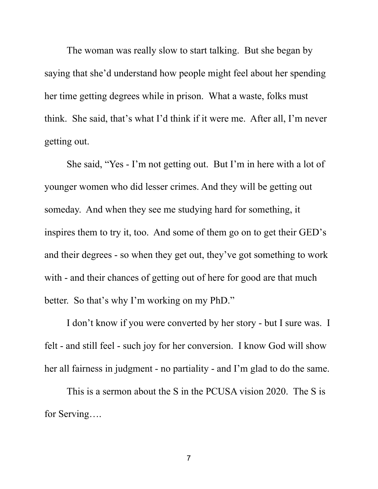The woman was really slow to start talking. But she began by saying that she'd understand how people might feel about her spending her time getting degrees while in prison. What a waste, folks must think. She said, that's what I'd think if it were me. After all, I'm never getting out.

She said, "Yes - I'm not getting out. But I'm in here with a lot of younger women who did lesser crimes. And they will be getting out someday. And when they see me studying hard for something, it inspires them to try it, too. And some of them go on to get their GED's and their degrees - so when they get out, they've got something to work with - and their chances of getting out of here for good are that much better. So that's why I'm working on my PhD."

I don't know if you were converted by her story - but I sure was. I felt - and still feel - such joy for her conversion. I know God will show her all fairness in judgment - no partiality - and I'm glad to do the same.

This is a sermon about the S in the PCUSA vision 2020. The S is for Serving….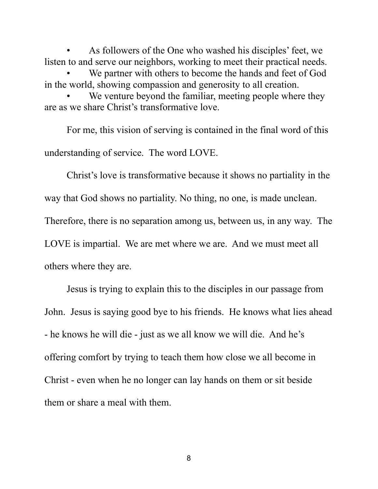As followers of the One who washed his disciples' feet, we listen to and serve our neighbors, working to meet their practical needs.

We partner with others to become the hands and feet of God in the world, showing compassion and generosity to all creation.

We venture beyond the familiar, meeting people where they are as we share Christ's transformative love.

For me, this vision of serving is contained in the final word of this understanding of service. The word LOVE.

Christ's love is transformative because it shows no partiality in the way that God shows no partiality. No thing, no one, is made unclean. Therefore, there is no separation among us, between us, in any way. The LOVE is impartial. We are met where we are. And we must meet all others where they are.

Jesus is trying to explain this to the disciples in our passage from John. Jesus is saying good bye to his friends. He knows what lies ahead - he knows he will die - just as we all know we will die. And he's offering comfort by trying to teach them how close we all become in Christ - even when he no longer can lay hands on them or sit beside them or share a meal with them.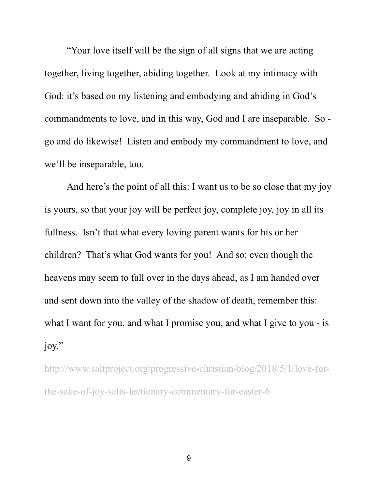"Your love itself will be the sign of all signs that we are acting together, living together, abiding together. Look at my intimacy with God: it's based on my listening and embodying and abiding in God's commandments to love, and in this way, God and I are inseparable. So go and do likewise! Listen and embody my commandment to love, and we'll be inseparable, too.

And here's the point of all this: I want us to be so close that my joy is yours, so that your joy will be perfect joy, complete joy, joy in all its fullness. Isn't that what every loving parent wants for his or her children? That's what God wants for you! And so: even though the heavens may seem to fall over in the days ahead, as I am handed over and sent down into the valley of the shadow of death, remember this: what I want for you, and what I promise you, and what I give to you - is joy."

http://www.saltproject.org/progressive-christian-blog/2018/5/1/love-forthe-sake-of-joy-salts-lectionary-commentary-for-easter-6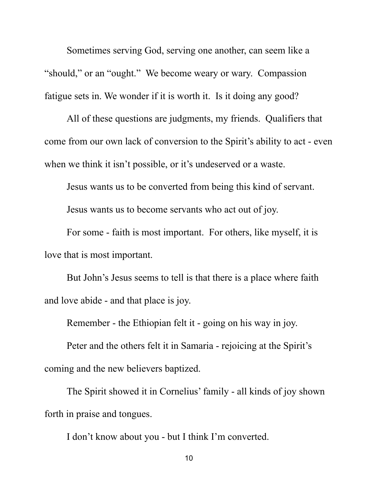Sometimes serving God, serving one another, can seem like a "should," or an "ought." We become weary or wary. Compassion fatigue sets in. We wonder if it is worth it. Is it doing any good?

All of these questions are judgments, my friends. Qualifiers that come from our own lack of conversion to the Spirit's ability to act - even when we think it isn't possible, or it's undeserved or a waste.

Jesus wants us to be converted from being this kind of servant.

Jesus wants us to become servants who act out of joy.

For some - faith is most important. For others, like myself, it is love that is most important.

But John's Jesus seems to tell is that there is a place where faith and love abide - and that place is joy.

Remember - the Ethiopian felt it - going on his way in joy.

Peter and the others felt it in Samaria - rejoicing at the Spirit's coming and the new believers baptized.

The Spirit showed it in Cornelius' family - all kinds of joy shown forth in praise and tongues.

I don't know about you - but I think I'm converted.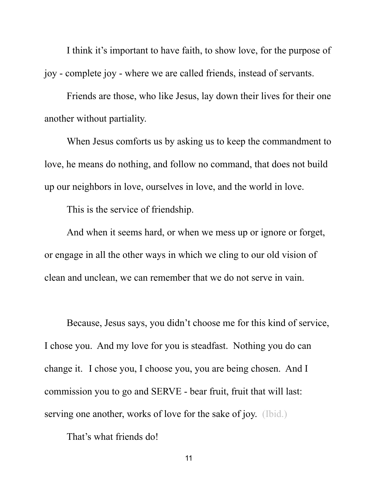I think it's important to have faith, to show love, for the purpose of joy - complete joy - where we are called friends, instead of servants.

Friends are those, who like Jesus, lay down their lives for their one another without partiality. When Jesus comforts us by asking us to keep the commandment to

love, he means do nothing, and follow no command, that does not build up our neighbors in love, ourselves in love, and the world in love.

This is the service of friendship.

And when it seems hard, or when we mess up or ignore or forget, or engage in all the other ways in which we cling to our old vision of clean and unclean, we can remember that we do not serve in vain.

Because, Jesus says, you didn't choose me for this kind of service, I chose you. And my love for you is steadfast. Nothing you do can change it. I chose you, I choose you, you are being chosen. And I commission you to go and SERVE - bear fruit, fruit that will last: serving one another, works of love for the sake of joy. (Ibid.)

That's what friends do!